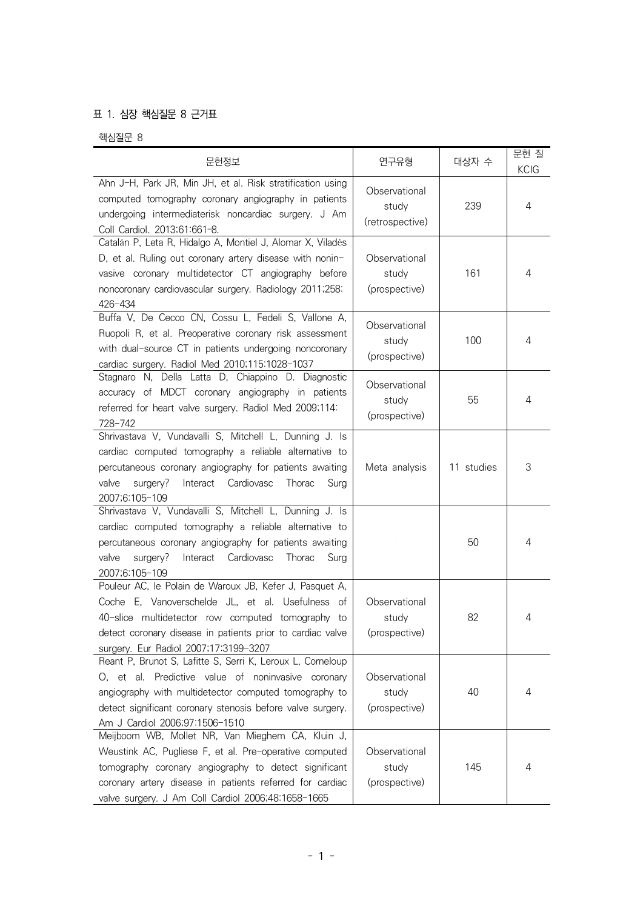## 표 1. 심장 핵심질문 8 근거표

핵심질문 8

| 문헌정보                                                                                                                                                                                                                                                                                  | 연구유형                                      | 대상자 수      | 문헌질<br><b>KCIG</b> |
|---------------------------------------------------------------------------------------------------------------------------------------------------------------------------------------------------------------------------------------------------------------------------------------|-------------------------------------------|------------|--------------------|
| Ahn J-H, Park JR, Min JH, et al. Risk stratification using<br>computed tomography coronary angiography in patients<br>undergoing intermediaterisk noncardiac surgery. J Am<br>Coll Cardiol. 2013;61:661-8.                                                                            | Observational<br>study<br>(retrospective) | 239        | 4                  |
| Catalán P, Leta R, Hidalgo A, Montiel J, Alomar X, Viladés<br>D, et al. Ruling out coronary artery disease with nonin-<br>vasive coronary multidetector CT angiography before<br>noncoronary cardiovascular surgery. Radiology 2011;258:<br>426-434                                   | Observational<br>study<br>(prospective)   | 161        | 4                  |
| Buffa V, De Cecco CN, Cossu L, Fedeli S, Vallone A,<br>Ruopoli R, et al. Preoperative coronary risk assessment<br>with dual-source CT in patients undergoing noncoronary<br>cardiac surgery. Radiol Med 2010;115:1028-1037                                                            | Observational<br>study<br>(prospective)   | 100        | 4                  |
| Stagnaro N, Della Latta D, Chiappino D. Diagnostic<br>accuracy of MDCT coronary angiography in patients<br>referred for heart valve surgery. Radiol Med 2009;114:<br>728-742                                                                                                          | Observational<br>study<br>(prospective)   | 55         | 4                  |
| Shrivastava V, Vundavalli S, Mitchell L, Dunning J. Is<br>cardiac computed tomography a reliable alternative to<br>percutaneous coronary angiography for patients awaiting<br>valve<br>surgery?<br>Interact<br>Cardiovasc<br>Thorac<br>Surg<br>2007;6:105-109                         | Meta analysis                             | 11 studies | 3                  |
| Shrivastava V, Vundavalli S, Mitchell L, Dunning J. Is<br>cardiac computed tomography a reliable alternative to<br>percutaneous coronary angiography for patients awaiting<br>valve<br>surgery?<br>Interact Cardiovasc<br>Thorac<br>Surg<br>2007;6:105-109                            |                                           | 50         | 4                  |
| Pouleur AC, le Polain de Waroux JB, Kefer J, Pasquet A,<br>Coche E, Vanoverschelde JL, et al. Usefulness of<br>40-slice multidetector row computed tomography to<br>detect coronary disease in patients prior to cardiac valve<br>surgery. Eur Radiol 2007;17:3199-3207               | Observational<br>study<br>(prospective)   | 82         | 4                  |
| Reant P, Brunot S, Lafitte S, Serri K, Leroux L, Corneloup<br>O, et al. Predictive value of noninvasive coronary<br>angiography with multidetector computed tomography to<br>detect significant coronary stenosis before valve surgery.<br>Am J Cardiol 2006;97:1506-1510             | Observational<br>study<br>(prospective)   | 40         | 4                  |
| Meijboom WB, Mollet NR, Van Mieghem CA, Kluin J,<br>Weustink AC, Pugliese F, et al. Pre-operative computed<br>tomography coronary angiography to detect significant<br>coronary artery disease in patients referred for cardiac<br>valve surgery. J Am Coll Cardiol 2006;48:1658-1665 | Observational<br>study<br>(prospective)   | 145        | 4                  |